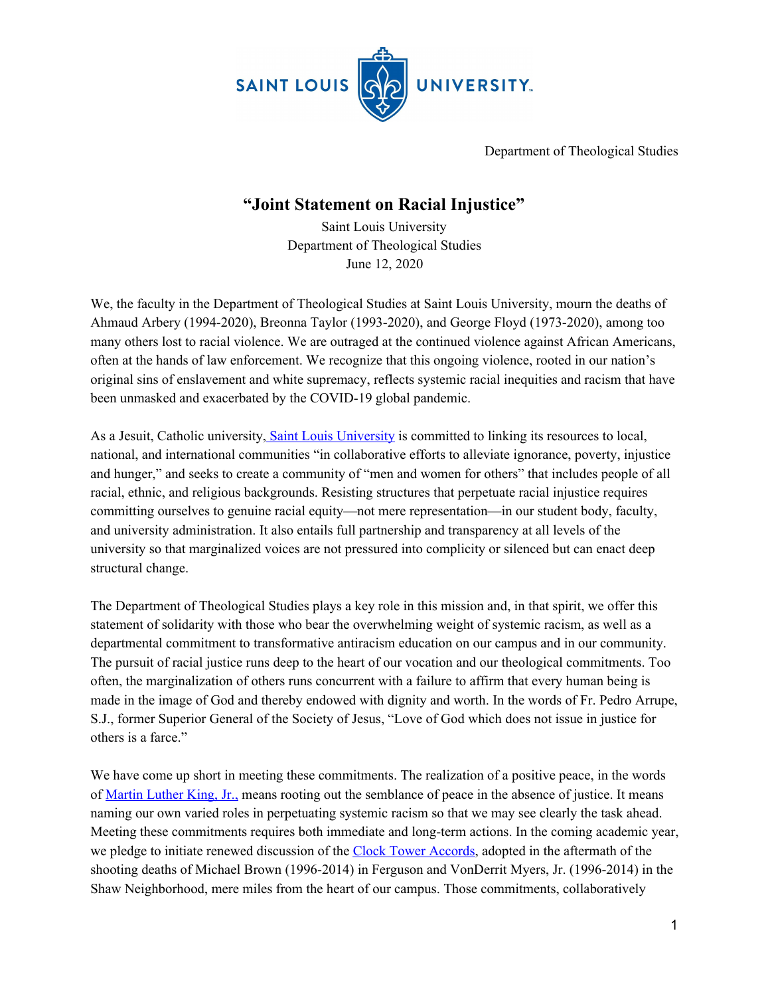

Department of Theological Studies

## **"Joint Statement on Racial Injustice"**

Saint Louis University Department of Theological Studies June 12, 2020

We, the faculty in the Department of Theological Studies at Saint Louis University, mourn the deaths of Ahmaud Arbery (1994-2020), Breonna Taylor (1993-2020), and George Floyd (1973-2020), among too many others lost to racial violence. We are outraged at the continued violence against African Americans, often at the hands of law enforcement. We recognize that this ongoing violence, rooted in our nation's original sins of enslavement and white supremacy, reflects systemic racial inequities and racism that have been unmasked and exacerbated by the COVID-19 global pandemic.

As a Jesuit, Catholic university, Saint Louis [University](https://www.slu.edu/about/catholic-jesuit-identity/mission.php) is committed to linking its resources to local, national, and international communities "in collaborative efforts to alleviate ignorance, poverty, injustice and hunger," and seeks to create a community of "men and women for others" that includes people of all racial, ethnic, and religious backgrounds. Resisting structures that perpetuate racial injustice requires committing ourselves to genuine racial equity—not mere representation—in our student body, faculty, and university administration. It also entails full partnership and transparency at all levels of the university so that marginalized voices are not pressured into complicity or silenced but can enact deep structural change.

The Department of Theological Studies plays a key role in this mission and, in that spirit, we offer this statement of solidarity with those who bear the overwhelming weight of systemic racism, as well as a departmental commitment to transformative antiracism education on our campus and in our community. The pursuit of racial justice runs deep to the heart of our vocation and our theological commitments. Too often, the marginalization of others runs concurrent with a failure to affirm that every human being is made in the image of God and thereby endowed with dignity and worth. In the words of Fr. Pedro Arrupe, S.J., former Superior General of the Society of Jesus, "Love of God which does not issue in justice for others is a farce."

We have come up short in meeting these commitments. The realization of a positive peace, in the words of [Martin](https://kinginstitute.stanford.edu/king-papers/documents/letter-birmingham-jail) Luther King, Jr., means rooting out the semblance of peace in the absence of justice. It means naming our own varied roles in perpetuating systemic racism so that we may see clearly the task ahead. Meeting these commitments requires both immediate and long-term actions. In the coming academic year, we pledge to initiate renewed discussion of the Clock Tower [Accords,](https://www.slu.edu/about/key-facts/diversity/clock-towers-accords.php) adopted in the aftermath of the shooting deaths of Michael Brown (1996-2014) in Ferguson and VonDerrit Myers, Jr. (1996-2014) in the Shaw Neighborhood, mere miles from the heart of our campus. Those commitments, collaboratively